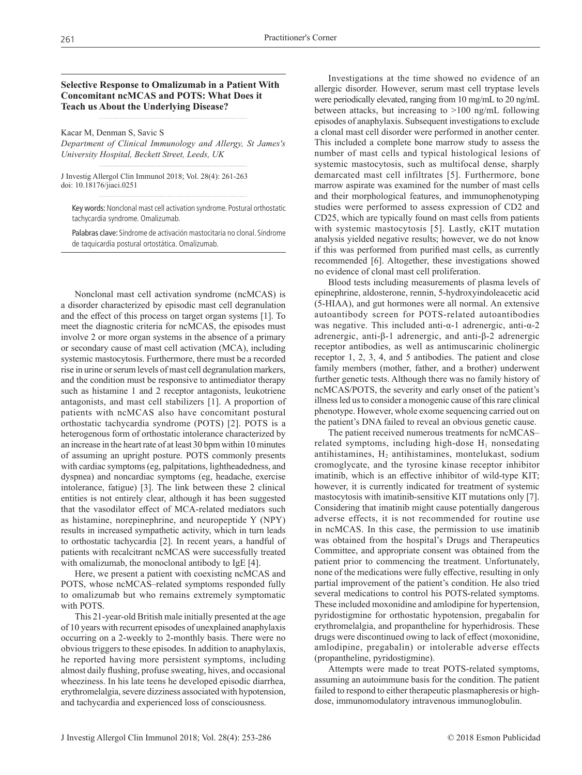**Selective Response to Omalizumab in a Patient With Concomitant ncMCAS and POTS: What Does it Teach us About the Underlying Disease?**

Kacar M, Denman S, Savic S

*Department of Clinical Immunology and Allergy, St James's University Hospital, Beckett Street, Leeds, UK*

J Investig Allergol Clin Immunol 2018; Vol. 28(4): 261-263 doi: 10.18176/jiaci.0251

Key words: Nonclonal mast cell activation syndrome. Postural orthostatic tachycardia syndrome. Omalizumab.

Palabras clave: Síndrome de activación mastocitaria no clonal. Síndrome de taquicardia postural ortostática. Omalizumab.

Nonclonal mast cell activation syndrome (ncMCAS) is a disorder characterized by episodic mast cell degranulation and the effect of this process on target organ systems [1]. To meet the diagnostic criteria for ncMCAS, the episodes must involve 2 or more organ systems in the absence of a primary or secondary cause of mast cell activation (MCA), including systemic mastocytosis. Furthermore, there must be a recorded rise in urine or serum levels of mast cell degranulation markers, and the condition must be responsive to antimediator therapy such as histamine 1 and 2 receptor antagonists, leukotriene antagonists, and mast cell stabilizers [1]. A proportion of patients with ncMCAS also have concomitant postural orthostatic tachycardia syndrome (POTS) [2]. POTS is a heterogenous form of orthostatic intolerance characterized by an increase in the heart rate of at least 30 bpm within 10 minutes of assuming an upright posture. POTS commonly presents with cardiac symptoms (eg, palpitations, lightheadedness, and dyspnea) and noncardiac symptoms (eg, headache, exercise intolerance, fatigue) [3]. The link between these 2 clinical entities is not entirely clear, although it has been suggested that the vasodilator effect of MCA-related mediators such as histamine, norepinephrine, and neuropeptide Y (NPY) results in increased sympathetic activity, which in turn leads to orthostatic tachycardia [2]. In recent years, a handful of patients with recalcitrant ncMCAS were successfully treated with omalizumab, the monoclonal antibody to IgE [4].

Here, we present a patient with coexisting ncMCAS and POTS, whose ncMCAS–related symptoms responded fully to omalizumab but who remains extremely symptomatic with POTS.

This 21-year-old British male initially presented at the age of 10 years with recurrent episodes of unexplained anaphylaxis occurring on a 2-weekly to 2-monthly basis. There were no obvious triggers to these episodes. In addition to anaphylaxis, he reported having more persistent symptoms, including almost daily flushing, profuse sweating, hives, and occasional wheeziness. In his late teens he developed episodic diarrhea, erythromelalgia, severe dizziness associated with hypotension, and tachycardia and experienced loss of consciousness.

Investigations at the time showed no evidence of an allergic disorder. However, serum mast cell tryptase levels were periodically elevated, ranging from 10 mg/mL to 20 ng/mL between attacks, but increasing to >100 ng/mL following episodes of anaphylaxis. Subsequent investigations to exclude a clonal mast cell disorder were performed in another center. This included a complete bone marrow study to assess the number of mast cells and typical histological lesions of systemic mastocytosis, such as multifocal dense, sharply demarcated mast cell infiltrates [5]. Furthermore, bone marrow aspirate was examined for the number of mast cells and their morphological features, and immunophenotyping studies were performed to assess expression of CD2 and CD25, which are typically found on mast cells from patients with systemic mastocytosis [5]. Lastly, cKIT mutation analysis yielded negative results; however, we do not know if this was performed from purified mast cells, as currently recommended [6]. Altogether, these investigations showed no evidence of clonal mast cell proliferation.

Blood tests including measurements of plasma levels of epinephrine, aldosterone, rennin, 5-hydroxyindoleacetic acid (5-HIAA), and gut hormones were all normal. An extensive autoantibody screen for POTS-related autoantibodies was negative. This included anti-α-1 adrenergic, anti-α-2 adrenergic, anti-β-1 adrenergic, and anti-β-2 adrenergic receptor antibodies, as well as antimuscarinic cholinergic receptor 1, 2, 3, 4, and 5 antibodies. The patient and close family members (mother, father, and a brother) underwent further genetic tests. Although there was no family history of ncMCAS/POTS, the severity and early onset of the patient's illness led us to consider a monogenic cause of this rare clinical phenotype. However, whole exome sequencing carried out on the patient's DNA failed to reveal an obvious genetic cause.

The patient received numerous treatments for ncMCAS– related symptoms, including high-dose  $H_1$  nonsedating antihistamines,  $H_2$  antihistamines, montelukast, sodium cromoglycate, and the tyrosine kinase receptor inhibitor imatinib, which is an effective inhibitor of wild-type KIT; however, it is currently indicated for treatment of systemic mastocytosis with imatinib-sensitive KIT mutations only [7]. Considering that imatinib might cause potentially dangerous adverse effects, it is not recommended for routine use in ncMCAS. In this case, the permission to use imatinib was obtained from the hospital's Drugs and Therapeutics Committee, and appropriate consent was obtained from the patient prior to commencing the treatment. Unfortunately, none of the medications were fully effective, resulting in only partial improvement of the patient's condition. He also tried several medications to control his POTS-related symptoms. These included moxonidine and amlodipine for hypertension, pyridostigmine for orthostatic hypotension, pregabalin for erythromelalgia, and propantheline for hyperhidrosis. These drugs were discontinued owing to lack of effect (moxonidine, amlodipine, pregabalin) or intolerable adverse effects (propantheline, pyridostigmine).

Attempts were made to treat POTS-related symptoms, assuming an autoimmune basis for the condition. The patient failed to respond to either therapeutic plasmapheresis or highdose, immunomodulatory intravenous immunoglobulin.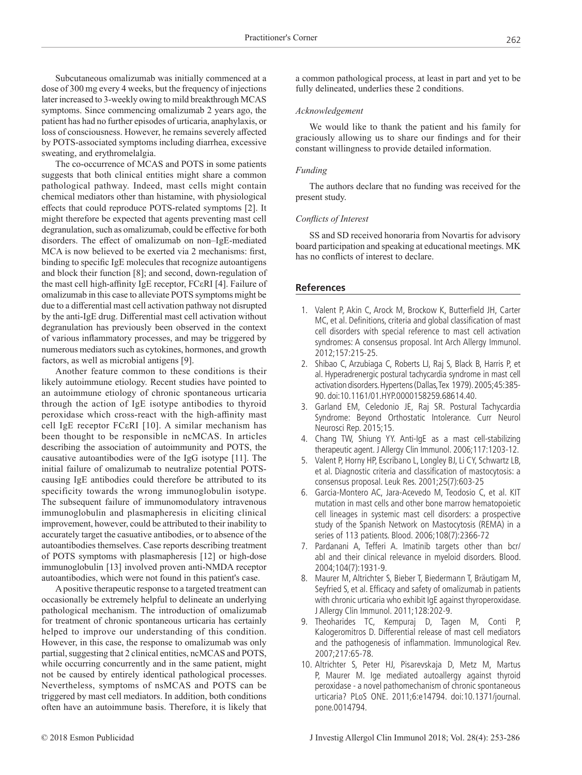Subcutaneous omalizumab was initially commenced at a dose of 300 mg every 4 weeks, but the frequency of injections later increased to 3-weekly owing to mild breakthrough MCAS symptoms. Since commencing omalizumab 2 years ago, the patient has had no further episodes of urticaria, anaphylaxis, or loss of consciousness. However, he remains severely affected by POTS-associated symptoms including diarrhea, excessive sweating, and erythromelalgia.

The co-occurrence of MCAS and POTS in some patients suggests that both clinical entities might share a common pathological pathway. Indeed, mast cells might contain chemical mediators other than histamine, with physiological effects that could reproduce POTS-related symptoms [2]. It might therefore be expected that agents preventing mast cell degranulation, such as omalizumab, could be effective for both disorders. The effect of omalizumab on non–IgE-mediated MCA is now believed to be exerted via 2 mechanisms: first, binding to specific IgE molecules that recognize autoantigens and block their function [8]; and second, down-regulation of the mast cell high-affinity IgE receptor, FCεRI [4]. Failure of omalizumab in this case to alleviate POTS symptoms might be due to a differential mast cell activation pathway not disrupted by the anti-IgE drug. Differential mast cell activation without degranulation has previously been observed in the context of various inflammatory processes, and may be triggered by numerous mediators such as cytokines, hormones, and growth factors, as well as microbial antigens [9].

Another feature common to these conditions is their likely autoimmune etiology. Recent studies have pointed to an autoimmune etiology of chronic spontaneous urticaria through the action of IgE isotype antibodies to thyroid peroxidase which cross-react with the high-affinity mast cell IgE receptor FCεRI [10]. A similar mechanism has been thought to be responsible in ncMCAS. In articles describing the association of autoimmunity and POTS, the causative autoantibodies were of the IgG isotype [11]. The initial failure of omalizumab to neutralize potential POTScausing IgE antibodies could therefore be attributed to its specificity towards the wrong immunoglobulin isotype. The subsequent failure of immunomodulatory intravenous immunoglobulin and plasmapheresis in eliciting clinical improvement, however, could be attributed to their inability to accurately target the casuative antibodies, or to absence of the autoantibodies themselves. Case reports describing treatment of POTS symptoms with plasmapheresis [12] or high-dose immunoglobulin [13] involved proven anti-NMDA receptor autoantibodies, which were not found in this patient's case.

A positive therapeutic response to a targeted treatment can occasionally be extremely helpful to delineate an underlying pathological mechanism. The introduction of omalizumab for treatment of chronic spontaneous urticaria has certainly helped to improve our understanding of this condition. However, in this case, the response to omalizumab was only partial, suggesting that 2 clinical entities, ncMCAS and POTS, while occurring concurrently and in the same patient, might not be caused by entirely identical pathological processes. Nevertheless, symptoms of nsMCAS and POTS can be triggered by mast cell mediators. In addition, both conditions often have an autoimmune basis. Therefore, it is likely that

a common pathological process, at least in part and yet to be fully delineated, underlies these 2 conditions.

### *Acknowledgement*

We would like to thank the patient and his family for graciously allowing us to share our findings and for their constant willingness to provide detailed information.

#### *Funding*

The authors declare that no funding was received for the present study.

# *Conflicts of Interest*

SS and SD received honoraria from Novartis for advisory board participation and speaking at educational meetings. MK has no conflicts of interest to declare.

### **References**

- 1. Valent P, Akin C, Arock M, Brockow K, Butterfield JH, Carter MC, et al. Definitions, criteria and global classification of mast cell disorders with special reference to mast cell activation syndromes: A consensus proposal. Int Arch Allergy Immunol. 2012;157:215-25.
- 2. Shibao C, Arzubiaga C, Roberts LJ, Raj S, Black B, Harris P, et al. Hyperadrenergic postural tachycardia syndrome in mast cell activation disorders. Hypertens (Dallas, Tex 1979). 2005;45:385- 90. doi:10.1161/01.HYP.0000158259.68614.40.
- 3. Garland EM, Celedonio JE, Raj SR. Postural Tachycardia Syndrome: Beyond Orthostatic Intolerance. Curr Neurol Neurosci Rep. 2015;15.
- 4. Chang TW, Shiung YY. Anti-IgE as a mast cell-stabilizing therapeutic agent. J Allergy Clin Immunol. 2006;117:1203-12.
- 5. Valent P, Horny HP, Escribano L, Longley BJ, Li CY, Schwartz LB, et al. Diagnostic criteria and classification of mastocytosis: a consensus proposal. Leuk Res. 2001;25(7):603-25
- 6. Garcia-Montero AC, Jara-Acevedo M, Teodosio C, et al. KIT mutation in mast cells and other bone marrow hematopoietic cell lineages in systemic mast cell disorders: a prospective study of the Spanish Network on Mastocytosis (REMA) in a series of 113 patients. Blood. 2006;108(7):2366-72
- 7. Pardanani A, Tefferi A. Imatinib targets other than bcr/ abl and their clinical relevance in myeloid disorders. Blood. 2004;104(7):1931-9.
- 8. Maurer M, Altrichter S, Bieber T, Biedermann T, Bräutigam M, Seyfried S, et al. Efficacy and safety of omalizumab in patients with chronic urticaria who exhibit IgE against thyroperoxidase. J Allergy Clin Immunol. 2011;128:202-9.
- 9. Theoharides TC, Kempuraj D, Tagen M, Conti P, Kalogeromitros D. Differential release of mast cell mediators and the pathogenesis of inflammation. Immunological Rev. 2007;217:65-78.
- 10. Altrichter S, Peter HJ, Pisarevskaja D, Metz M, Martus P, Maurer M. Ige mediated autoallergy against thyroid peroxidase - a novel pathomechanism of chronic spontaneous urticaria? PLoS ONE. 2011;6:e14794. doi:10.1371/journal. pone.0014794.